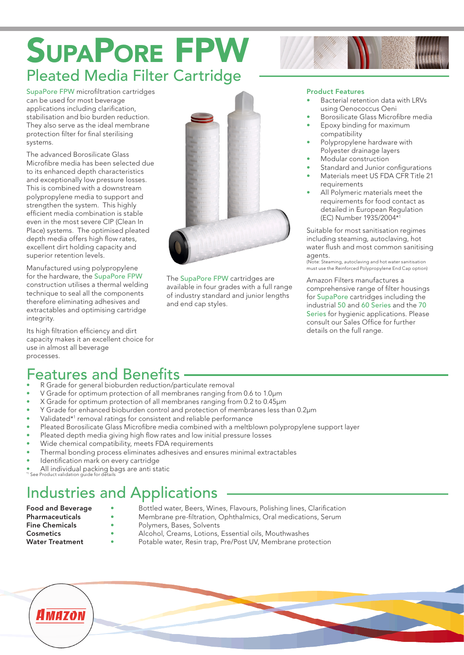# SupaPore FPW Pleated Media Filter Cartridge

SupaPore FPW microfiltration cartridges can be used for most beverage applications including clarification, stabilisation and bio burden reduction. They also serve as the ideal membrane protection filter for final sterilising systems.

The advanced Borosilicate Glass Microfibre media has been selected due to its enhanced depth characteristics and exceptionally low pressure losses. This is combined with a downstream polypropylene media to support and strengthen the system. This highly efficient media combination is stable even in the most severe CIP (Clean In Place) systems. The optimised pleated depth media offers high flow rates, excellent dirt holding capacity and superior retention levels.

Manufactured using polypropylene for the hardware, the SupaPore FPW construction utilises a thermal welding technique to seal all the components therefore eliminating adhesives and extractables and optimising cartridge integrity.

Its high filtration efficiency and dirt capacity makes it an excellent choice for use in almost all beverage processes.



The SupaPore FPW cartridges are available in four grades with a full range of industry standard and junior lengths and end cap styles.

### Product Features

- Bacterial retention data with LRVs using Oenococcus Oeni
- Borosilicate Glass Microfibre media
- Epoxy binding for maximum compatibility
- Polypropylene hardware with Polyester drainage layers
- Modular construction
- Standard and Junior configurations
- Materials meet US FDA CFR Title 21 requirements
- All Polymeric materials meet the requirements for food contact as detailed in European Regulation (EC) Number 1935/2004\*1

Suitable for most sanitisation regimes including steaming, autoclaving, hot water flush and most common sanitising agents

(Note: Steaming, autoclaving and hot water sanitisation must use the Reinforced Polypropylene End Cap option)

Amazon Filters manufactures a comprehensive range of filter housings for SupaPore cartridges including the industrial 50 and 60 Series and the 70 Series for hygienic applications. Please consult our Sales Office for further details on the full range.

## Features and Benefits

- R Grade for general bioburden reduction/particulate removal
- V Grade for optimum protection of all membranes ranging from 0.6 to 1.0µm
- X Grade for optimum protection of all membranes ranging from 0.2 to 0.45µm
- Y Grade for enhanced bioburden control and protection of membranes less than 0.2µm
- Validated<sup>\*1</sup> removal ratings for consistent and reliable performance
- Pleated Borosilicate Glass Microfibre media combined with a meltblown polypropylene support layer
- Pleated depth media giving high flow rates and low initial pressure losses
- Wide chemical compatibility, meets FDA requirements
- Thermal bonding process eliminates adhesives and ensures minimal extractables
- Identification mark on every cartridge
- All individual packing bags are anti-static<br>"See Product validation quide for details

# Industries and Applications

- Food and Beverage Bottled water, Beers, Wines, Flavours, Polishing lines, Clarification<br> **Pharmaceuticals**<br> **Pharmaceuticals**
- **Pharmaceuticals •** Membrane pre-filtration, Ophthalmics, Oral medications, Serum<br> **Fine Chemicals** Polymers, Bases, Solvents
- Fine Chemicals Polymers, Bases, Solvents<br>
Cosmetics Alcohol Creams Lotions
- 
- Alcohol, Creams, Lotions, Essential oils, Mouthwashes Water Treatment • Potable water, Resin trap, Pre/Post UV, Membrane protection